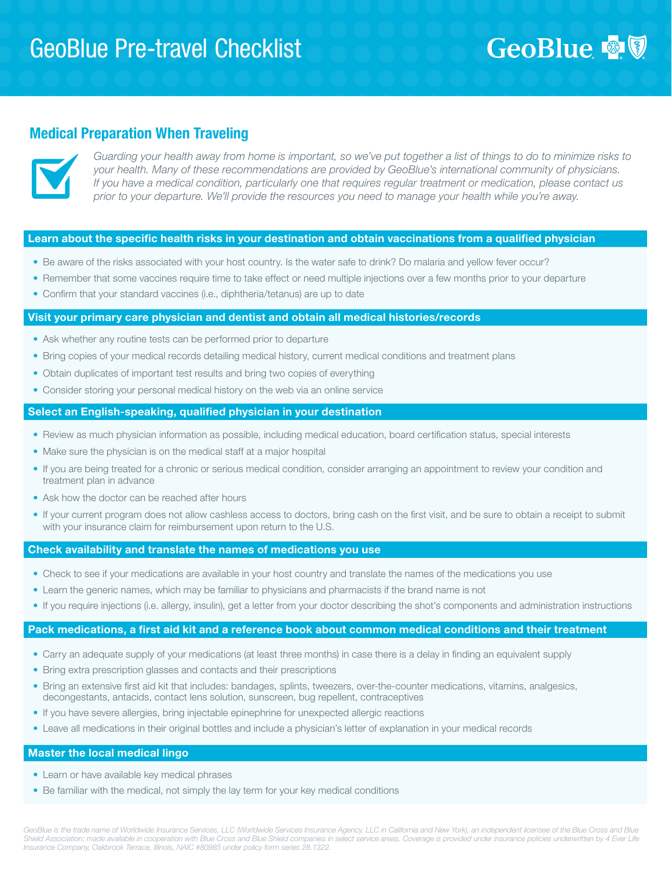# GeoBlue & V

# Medical Preparation When Traveling



*Guarding your health away from home is important, so we've put together a list of things to do to minimize risks to your health. Many of these recommendations are provided by GeoBlue's international community of physicians. If you have a medical condition, particularly one that requires regular treatment or medication, please contact us prior to your departure. We'll provide the resources you need to manage your health while you're away.*

## Learn about the specific health risks in your destination and obtain vaccinations from a qualified physician

- Be aware of the risks associated with your host country. Is the water safe to drink? Do malaria and yellow fever occur?
- Remember that some vaccines require time to take effect or need multiple injections over a few months prior to your departure
- Confirm that your standard vaccines (i.e., diphtheria/tetanus) are up to date

#### Visit your primary care physician and dentist and obtain all medical histories/records

- Ask whether any routine tests can be performed prior to departure
- Bring copies of your medical records detailing medical history, current medical conditions and treatment plans
- Obtain duplicates of important test results and bring two copies of everything
- Consider storing your personal medical history on the web via an online service

## Select an English-speaking, qualified physician in your destination

- Review as much physician information as possible, including medical education, board certification status, special interests
- Make sure the physician is on the medical staff at a major hospital
- If you are being treated for a chronic or serious medical condition, consider arranging an appointment to review your condition and treatment plan in advance
- Ask how the doctor can be reached after hours
- If your current program does not allow cashless access to doctors, bring cash on the first visit, and be sure to obtain a receipt to submit with your insurance claim for reimbursement upon return to the U.S.

#### Check availability and translate the names of medications you use

- Check to see if your medications are available in your host country and translate the names of the medications you use
- Learn the generic names, which may be familiar to physicians and pharmacists if the brand name is not
- If you require injections (i.e. allergy, insulin), get a letter from your doctor describing the shot's components and administration instructions

#### Pack medications, a first aid kit and a reference book about common medical conditions and their treatment

- Carry an adequate supply of your medications (at least three months) in case there is a delay in finding an equivalent supply
- Bring extra prescription glasses and contacts and their prescriptions
- Bring an extensive first aid kit that includes: bandages, splints, tweezers, over-the-counter medications, vitamins, analgesics, decongestants, antacids, contact lens solution, sunscreen, bug repellent, contraceptives
- If you have severe allergies, bring injectable epinephrine for unexpected allergic reactions
- Leave all medications in their original bottles and include a physician's letter of explanation in your medical records

# Master the local medical lingo

- Learn or have available key medical phrases
- Be familiar with the medical, not simply the lay term for your key medical conditions

GeoBlue is the trade name of Worldwide Insurance Services, LLC (Worldwide Services Insurance Agency, LLC in California and New York), an independent licensee of the Blue Cross and Blue Shield Association: made available in cooperation with Blue Cross and Blue Shield companies in select service areas. Coverage is provided under insurance policies underwritten by 4 Ever Life *Insurance Company, Oakbrook Terrace, Illinois, NAIC #80985 under policy form series 28.1322.*